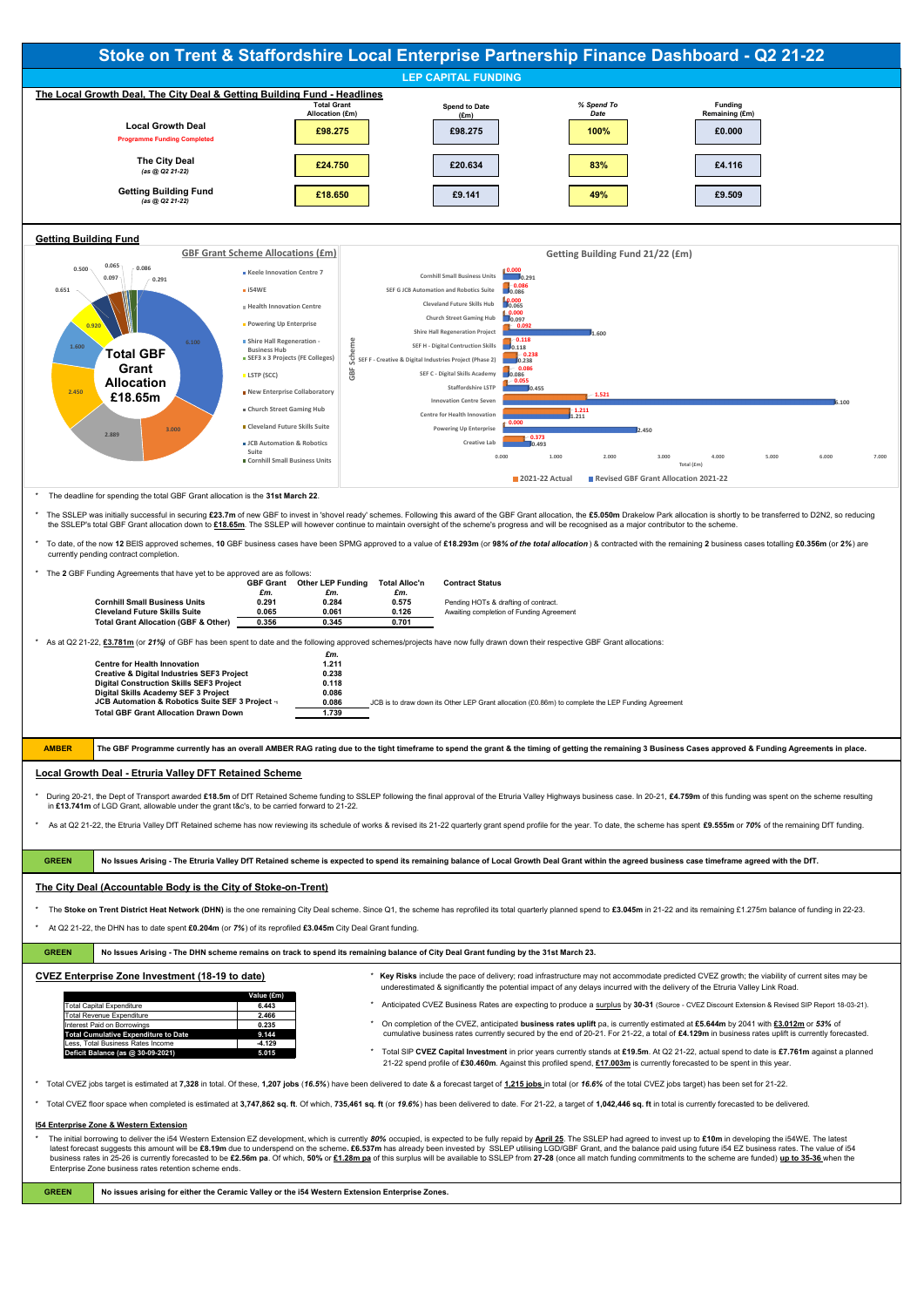- d & significantly the potential impact of any delays incurred with the delivery of the Etruria Valley Link Road
- \* Anticipated CVEZ Business Rates are expecting to produce a surplus by 30-31 (Source CVEZ Discount Extension & Revised SIP Report 18-03-21).
- Interest Paid on Borrowings **0.235** \* On completion of the CVEZ, anticipated **business rates uplift** pa, is currently estimated at **£5.644m** by 2041 with **£3.012m** or *53%* of cumulative business rates currently secured by the end of 20-21. For 21-22, a total of £4.129m in business rates uplift is currently forecasted.
- **Deficit Balance (as @ 30-09-2021) 5.015** \* Total SIP **CVEZ Capital Investment** in prior years currently stands at **£19.5m**. At Q2 21-22, actual spend to date is **£7.761m** against a planned 21-22 spend profile of **£30.460m**. Against this profiled spend, **£17.003m** is currently forecasted to be spent in this year.

Total CVEZ jobs target is estimated at 7,328 in total. Of these, 1,207 jobs (16.5%) have been delivered to date & a forecast target of 1,215 jobs in total (or 16.6% of the total CVEZ jobs target) has been set for 21-22.

Total CVEZ floor space when completed is estimated at 3,747,862 sq. ft. Of which, 735,461 sq. ft (or 19.6%) has been delivered to date. For 21-22, a target of 1,042,446 sq. ft in total is currently forecasted to be deliver

The initial borrowing to deliver the i54 Western Extension EZ development, which is currently 80% occupied, is expected to be fully repaid by April 25. The SSLEP had agreed to invest up to £10m in developing the i54WE. The latest forecast suggests this amount will be £8.19m due to underspend on the scheme. £6.537m has already been invested by SSLEP utilising LGD/GBF Grant, and the balance paid using future i54 EZ business rates. The value of business rates in 25-26 is currently forecasted to be £2.56m pa. Of which, 50% or £1.28m pa of this surplus will be available to SSLEP from 27-28 (once all match funding commitments to the scheme are funded) up to 35-36 wh Enterprise Zone business rates retention scheme ends.

|                                             | Value (£m) |
|---------------------------------------------|------------|
| <b>Total Capital Expenditure</b>            | 6.443      |
| <b>Total Revenue Expenditure</b>            | 2.466      |
| Interest Paid on Borrowings                 | 0.235      |
| <b>Total Cumulative Expenditure to Date</b> | 9.144      |
| Less. Total Business Rates Income           | $-4.129$   |
| Deficit Balance (as @ 30-09-2021)           | 5.015      |



#### **I54 Enterprise Zone & Western Extension**

**GREEN No issues arising for either the Ceramic Valley or the i54 Western Extension Enterprise Zones.**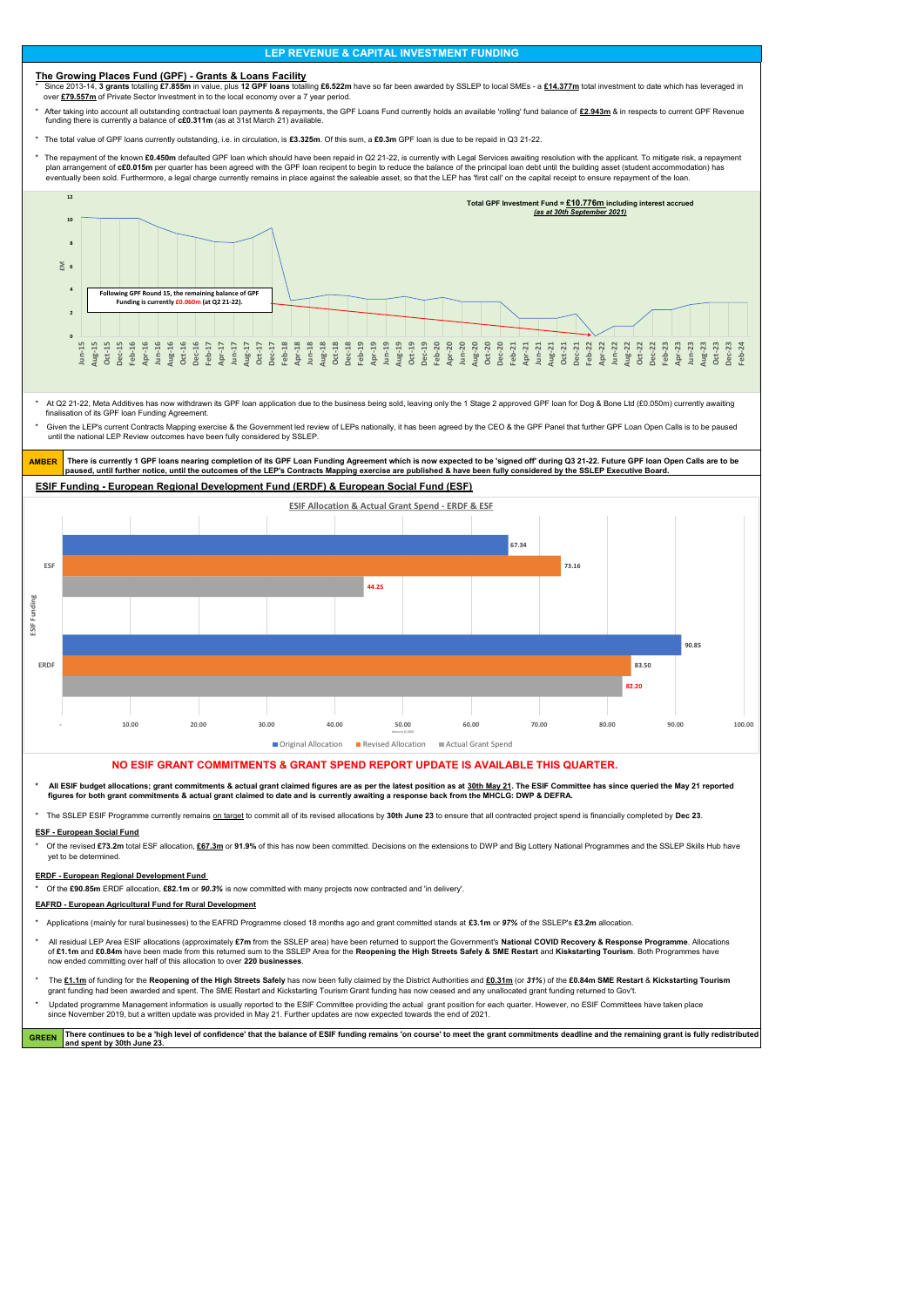### **The Growing Places Fund (GPF) - Grants & Loans Facility**

\* Since 2013-14, **3 grants** totalling **£7.855m** in value, plus **12 GPF Ioans** totalling **£6.522m** have so far been awarded by SSLEP to local SMEs - a <u>£14.377m</u> total investment to date which has leveraged in over **£79.557m** of Private Sector Investment in to the local economy over a 7 year period.

After taking into account all outstanding contractual loan payments & repayments, the GPF Loans Fund currently holds an available 'rolling' fund balance of £2.943m & in respects to current GPF Revenue funding there is currently a balance of **c£0.311m** (as at 31st March 21) available.

\* The total value of GPF loans currently outstanding, i.e. in circulation, is **£3.325m**. Of this sum, a **£0.3m** GPF loan is due to be repaid in Q3 21-22.

The repayment of the known £0.450m defaulted GPF loan which should have been repaid in Q2 21-22, is currently with Legal Services awaiting resolution with the applicant. To mitigate risk, a repayment plan arrangement of c£0.015m per quarter has been agreed with the GPF loan recipent to begin to reduce the balance of the principal loan debt until the building asset (student accommodation) has eventually been sold. Furthermore, a legal charge currently remains in place against the saleable asset, so that the LEP has 'first call' on the capital receipt to ensure repayment of the loan.

Given the LEP's current Contracts Mapping exercise & the Government led review of LEPs nationally, it has been agreed by the CEO & the GPF Panel that further GPF Loan Open Calls is to be paused until the national LEP Review outcomes have been fully considered by SSLEP.

- All ESIF budget allocations; grant commitments & actual grant claimed figures are as per the latest position as at 30th May 21. The ESIF Committee has since queried the May 21 reported  **figures for both grant commitments & actual grant claimed to date and is currently awaiting a response back from the MHCLG: DWP & DEFRA.**
- \* The SSLEP ESIF Programme currently remains on target to commit all of its revised allocations by **30th June 23** to ensure that all contracted project spend is financially completed by **Dec 23**.

- \* Applications (mainly for rural businesses) to the EAFRD Programme closed 18 months ago and grant committed stands at **£3.1m** or *97%* of the SSLEP's **£3.2m** allocation.
- \* All residual LEP Area ESIF allocations (approximately **£7m** from the SSLEP area) have been returned to support the Government's **National COVID Recovery & Response Programme**. Allocations of **£1.1m** and **£0.84m** have been made from this returned sum to the SSLEP Area for the **Reopening the High Streets Safely & SME Restart** and **Kiskstarting Tourism**. Both Programmes have now ended committing over half of this allocation to over **220 businesses**.
- The £1.1m of funding for the Reopening of the High Streets Safely has now been fully claimed by the District Authorities and £0.31m (or 31%) of the £0.84m SME Restart & Kickstarting Tourism

\* At Q2 21-22, Meta Additives has now withdrawn its GPF loan application due to the business being sold, leaving only the 1 Stage 2 approved GPF loan for Dog & Bone Ltd (£0.050m) currently awaiting finalisation of its GPF loan Funding Agreement.

### **ESIF Funding - European Regional Development Fund (ERDF) & European Social Fund (ESF)**

Updated programme Management information is usually reported to the ESIF Committee providing the actual grant position for each quarter. However, no ESIF Committees have taken place since November 2019, but a written update was provided in May 21. Further updates are now expected towards the end of 2021.

GREEN There continues to be a 'high level of confidence' that the balance of ESIF funding remains 'on course' to meet the grant commitments deadline and the remaining grant is fully redistributed **and spent by 30th June 23.**

AMBER There is currently 1 GPF loans nearing completion of its GPF Loan Funding Agreement which is now expected to be 'signed off' during Q3 21-22. Future GPF loan Open Calls are to be **paused, until further notice, until the outcomes of the LEP's Contracts Mapping exercise are published & have been fully considered by the SSLEP Executive Board.**

#### **ESF - European Social Fund**

\* Of the revised **£73.2m** total ESF allocation, **£67.3m** or **91.9%** of this has now been committed. Decisions on the extensions to DWP and Big Lottery National Programmes and the SSLEP Skills Hub have yet to be determined.

#### **ERDF - European Regional Development Fund**

\* Of the **£90.85m** ERDF allocation, **£82.1m** or *90.3%* is now committed with many projects now contracted and 'in delivery'.

#### **EAFRD - European Agricultural Fund for Rural Development**

grant funding had been awarded and spent. The SME Restart and Kickstarting Tourism Grant funding has now ceased and any unallocated grant funding returned to Gov't.

### **NO ESIF GRANT COMMITMENTS & GRANT SPEND REPORT UPDATE IS AVAILABLE THIS QUARTER.**

# **LEP REVENUE & CAPITAL INVESTMENT FUNDING**